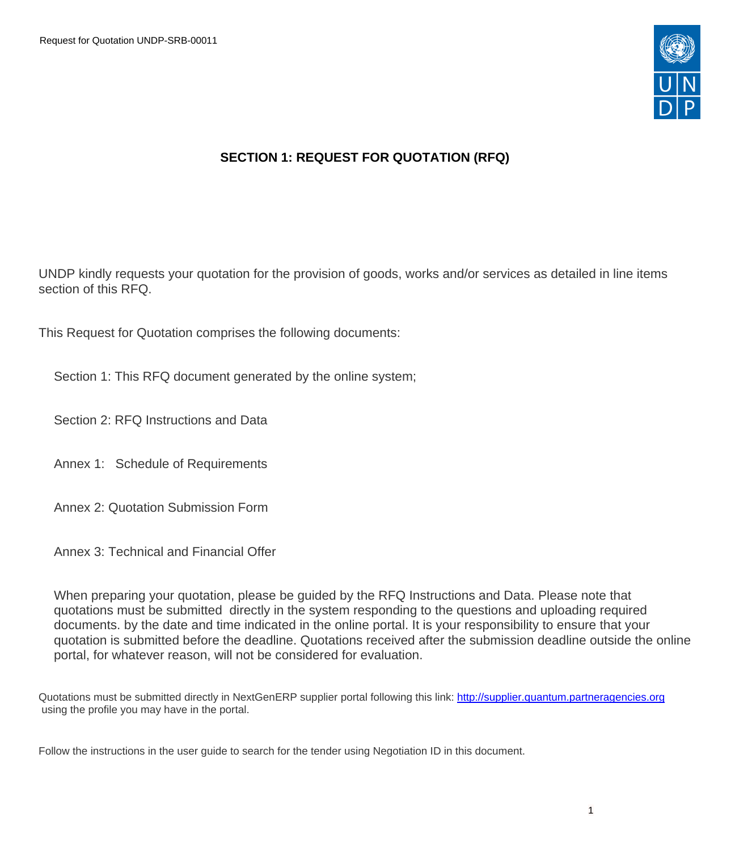

# **SECTION 1: REQUEST FOR QUOTATION (RFQ)**

UNDP kindly requests your quotation for the provision of goods, works and/or services as detailed in line items section of this RFQ.

This Request for Quotation comprises the following documents:

Section 1: This RFQ document generated by the online system;

Section 2: RFQ Instructions and Data

Annex 1: Schedule of Requirements

Annex 2: Quotation Submission Form

Annex 3: Technical and Financial Offer

When preparing your quotation, please be guided by the RFQ Instructions and Data. Please note that quotations must be submitted directly in the system responding to the questions and uploading required documents. by the date and time indicated in the online portal. It is your responsibility to ensure that your quotation is submitted before the deadline. Quotations received after the submission deadline outside the online portal, for whatever reason, will not be considered for evaluation.

Quotations must be submitted directly in NextGenERP supplier portal following this link: [http://supplier.quantum.partneragencies.org](http://supplier.quantum.partneragencies.org/) using the profile you may have in the portal.

Follow the instructions in the user guide to search for the tender using Negotiation ID in this document.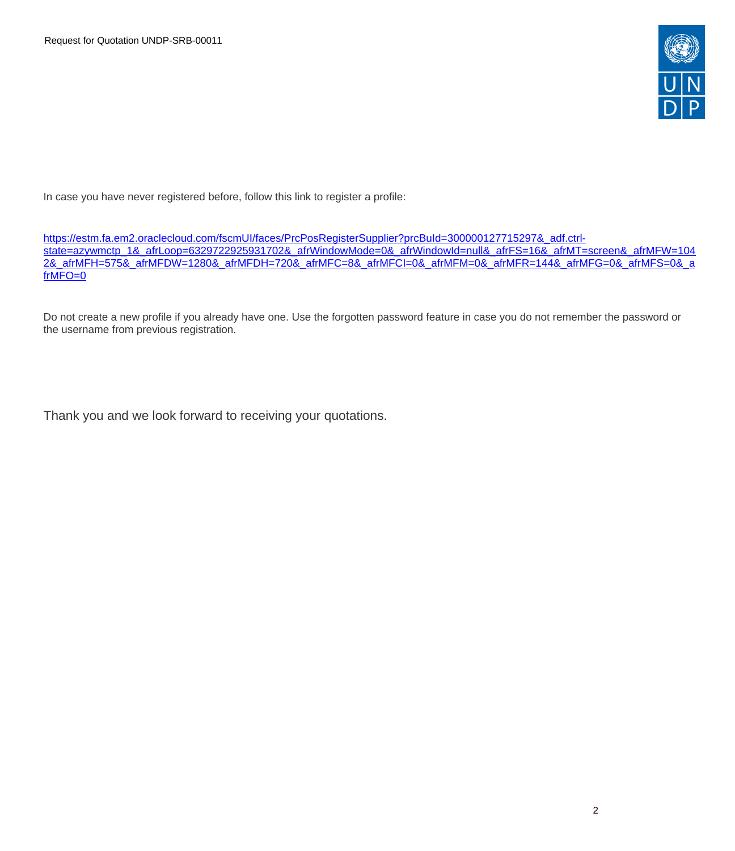

In case you have never registered before, follow this link to register a profile:

[https://estm.fa.em2.oraclecloud.com/fscmUI/faces/PrcPosRegisterSupplier?prcBuId=300000127715297&\\_adf.ctrl](https://estm.fa.em2.oraclecloud.com/fscmUI/faces/PrcPosRegisterSupplier?prcBuId=300000127715297&_adf.ctrl-state=azywmctp_1&_afrLoop=6329722925931702&_afrWindowMode=0&_afrWindowId=null&_afrFS=16&_afrMT=screen&_afrMFW=1042&_afrMFH=575&_afrMFDW=1280&_afrMFDH=720&_afrMFC=8&_afrMFCI=0&_afrMFM=0&_afrMFR=144&_afrMFG=0&_afrMFS=0&_afrMFO=0)[state=azywmctp\\_1&\\_afrLoop=6329722925931702&\\_afrWindowMode=0&\\_afrWindowId=null&\\_afrFS=16&\\_afrMT=screen&\\_afrMFW=104](https://estm.fa.em2.oraclecloud.com/fscmUI/faces/PrcPosRegisterSupplier?prcBuId=300000127715297&_adf.ctrl-state=azywmctp_1&_afrLoop=6329722925931702&_afrWindowMode=0&_afrWindowId=null&_afrFS=16&_afrMT=screen&_afrMFW=1042&_afrMFH=575&_afrMFDW=1280&_afrMFDH=720&_afrMFC=8&_afrMFCI=0&_afrMFM=0&_afrMFR=144&_afrMFG=0&_afrMFS=0&_afrMFO=0) [2&\\_afrMFH=575&\\_afrMFDW=1280&\\_afrMFDH=720&\\_afrMFC=8&\\_afrMFCI=0&\\_afrMFM=0&\\_afrMFR=144&\\_afrMFG=0&\\_afrMFS=0&\\_a](https://estm.fa.em2.oraclecloud.com/fscmUI/faces/PrcPosRegisterSupplier?prcBuId=300000127715297&_adf.ctrl-state=azywmctp_1&_afrLoop=6329722925931702&_afrWindowMode=0&_afrWindowId=null&_afrFS=16&_afrMT=screen&_afrMFW=1042&_afrMFH=575&_afrMFDW=1280&_afrMFDH=720&_afrMFC=8&_afrMFCI=0&_afrMFM=0&_afrMFR=144&_afrMFG=0&_afrMFS=0&_afrMFO=0) [frMFO=0](https://estm.fa.em2.oraclecloud.com/fscmUI/faces/PrcPosRegisterSupplier?prcBuId=300000127715297&_adf.ctrl-state=azywmctp_1&_afrLoop=6329722925931702&_afrWindowMode=0&_afrWindowId=null&_afrFS=16&_afrMT=screen&_afrMFW=1042&_afrMFH=575&_afrMFDW=1280&_afrMFDH=720&_afrMFC=8&_afrMFCI=0&_afrMFM=0&_afrMFR=144&_afrMFG=0&_afrMFS=0&_afrMFO=0)

Do not create a new profile if you already have one. Use the forgotten password feature in case you do not remember the password or the username from previous registration.

Thank you and we look forward to receiving your quotations.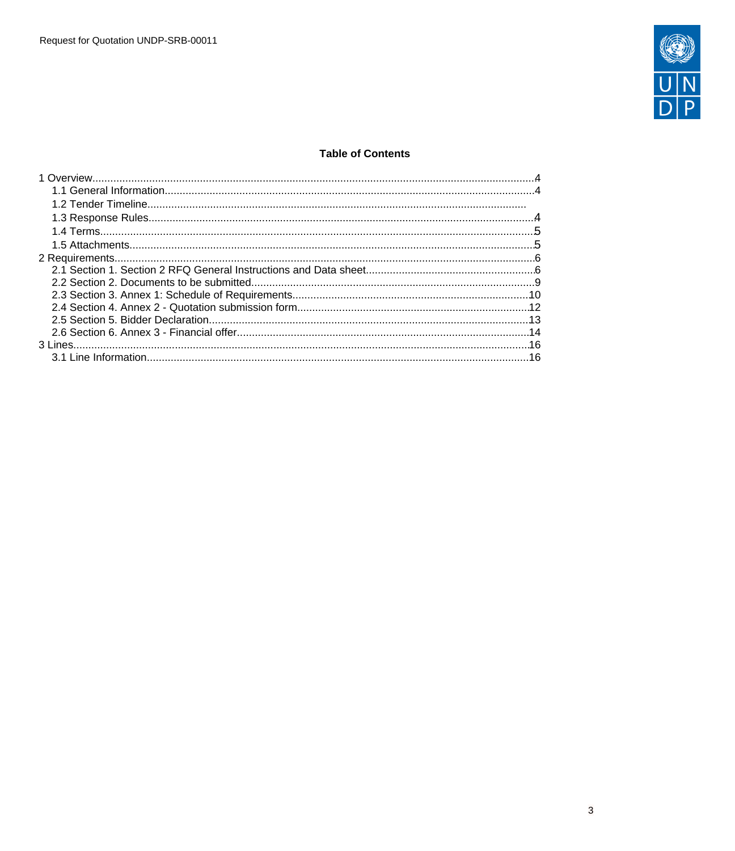

# **Table of Contents**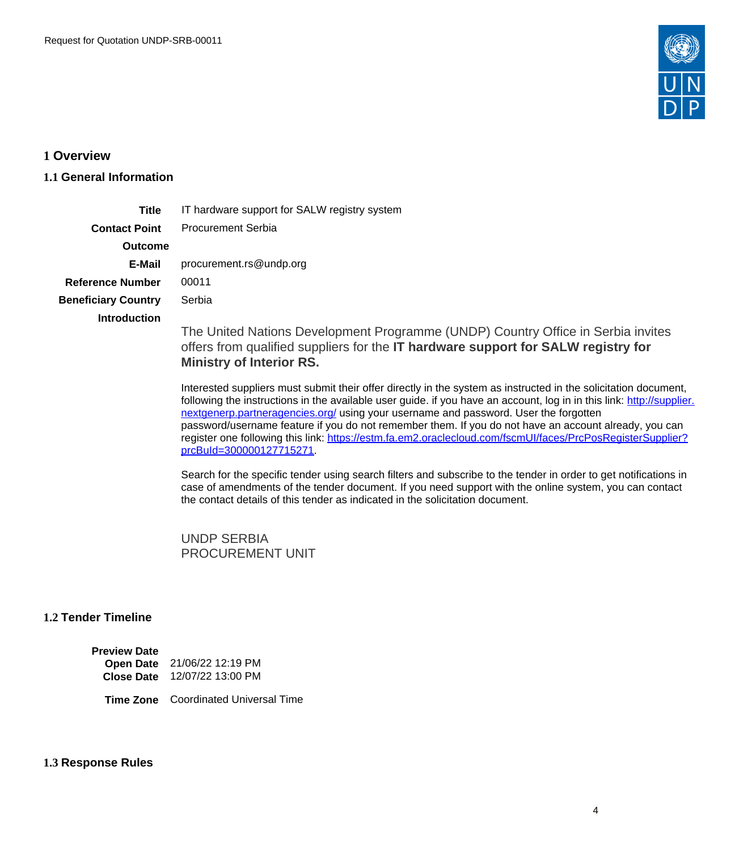

## <span id="page-3-0"></span>**1 Overview**

# <span id="page-3-1"></span>**1.1 General Information**

| <b>Title</b>               | IT hardware support for SALW registry system                                                                                                                                                             |
|----------------------------|----------------------------------------------------------------------------------------------------------------------------------------------------------------------------------------------------------|
| <b>Contact Point</b>       | <b>Procurement Serbia</b>                                                                                                                                                                                |
| <b>Outcome</b>             |                                                                                                                                                                                                          |
| E-Mail                     | procurement.rs@undp.org                                                                                                                                                                                  |
| <b>Reference Number</b>    | 00011                                                                                                                                                                                                    |
| <b>Beneficiary Country</b> | Serbia                                                                                                                                                                                                   |
| <b>Introduction</b>        | The United Nations Development Programme (UNDP) Country Office in Serbia invites<br>offers from qualified suppliers for the IT hardware support for SALW registry for<br><b>Ministry of Interior RS.</b> |

Interested suppliers must submit their offer directly in the system as instructed in the solicitation document, following the instructions in the available user guide. if you have an account, log in in this link: [http://supplier.](http://supplier.nextgenerp.partneragencies.org/) [nextgenerp.partneragencies.org/](http://supplier.nextgenerp.partneragencies.org/) using your username and password. User the forgotten password/username feature if you do not remember them. If you do not have an account already, you can register one following this link: [https://estm.fa.em2.oraclecloud.com/fscmUI/faces/PrcPosRegisterSupplier?](https://estm.fa.em2.oraclecloud.com/fscmUI/faces/PrcPosRegisterSupplier?prcBuId=300000127715271) [prcBuId=300000127715271](https://estm.fa.em2.oraclecloud.com/fscmUI/faces/PrcPosRegisterSupplier?prcBuId=300000127715271).

Search for the specific tender using search filters and subscribe to the tender in order to get notifications in case of amendments of the tender document. If you need support with the online system, you can contact the contact details of this tender as indicated in the solicitation document.

UNDP SERBIA PROCUREMENT UNIT

# **1.2 Tender Timeline**

| <b>Preview Date</b> |                   |
|---------------------|-------------------|
| <b>Open Date</b>    | 21/06/22 12:19 PM |
| <b>Close Date</b>   | 12/07/22 13:00 PM |

**Time Zone** Coordinated Universal Time

## <span id="page-3-2"></span>**1.3 Response Rules**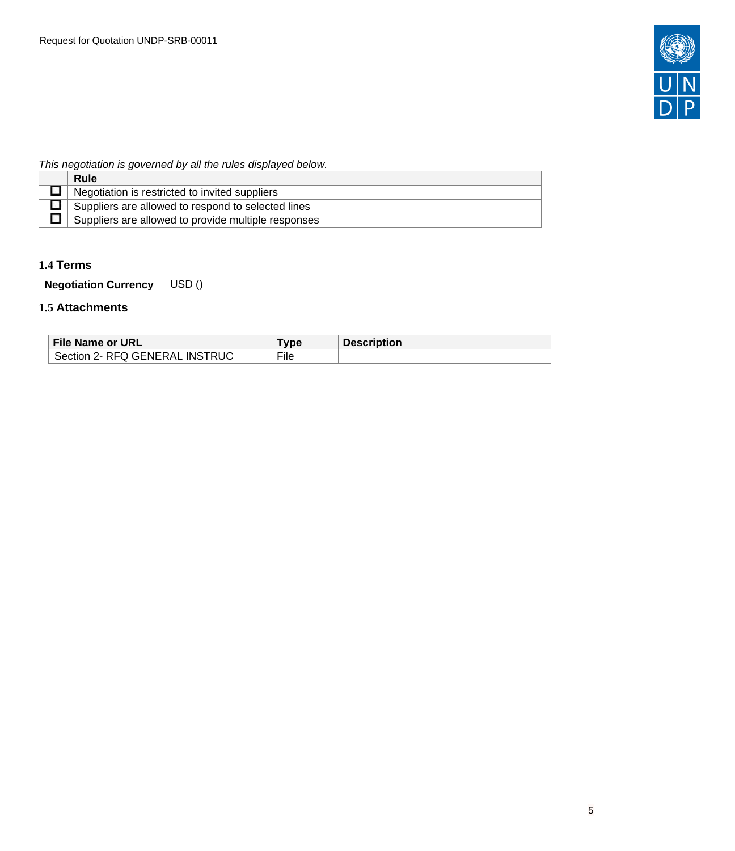

# This negotiation is governed by all the rules displayed below.

| Rule                                                |
|-----------------------------------------------------|
| Negotiation is restricted to invited suppliers      |
| Suppliers are allowed to respond to selected lines  |
| Suppliers are allowed to provide multiple responses |

# <span id="page-4-0"></span>**1.4 Terms**

**Negotiation Currency** USD ()

# <span id="page-4-1"></span>**1.5 Attachments**

| File Name or URL                             | <b>VDE</b> | <b>Description</b> |
|----------------------------------------------|------------|--------------------|
| <b>INSTRUC</b><br>2- RFQ GENERAL<br>Section. | File       |                    |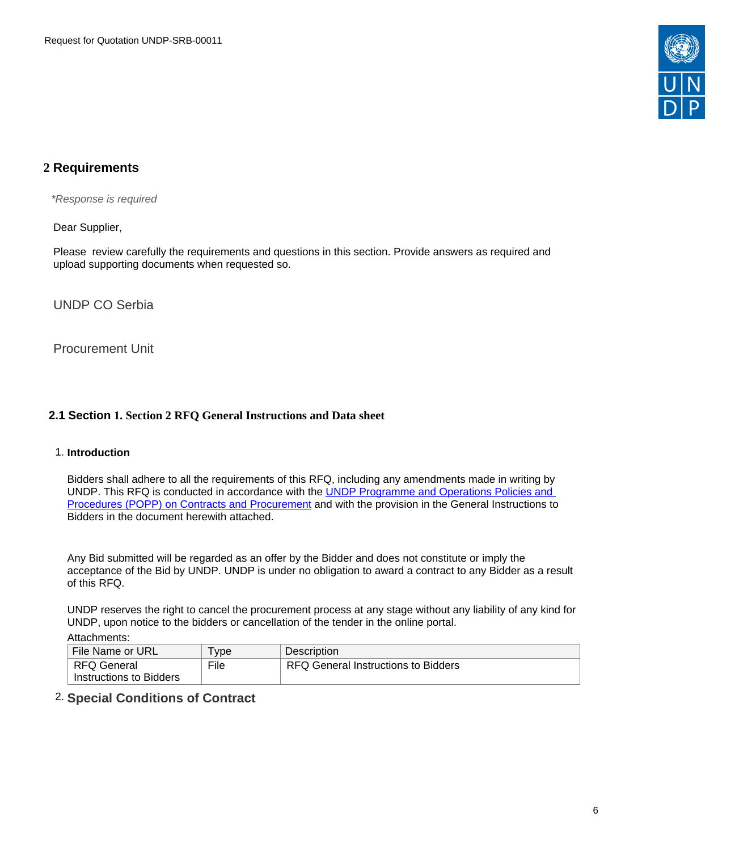

# <span id="page-5-0"></span>**2 Requirements**

\*Response is required

Dear Supplier,

Please review carefully the requirements and questions in this section. Provide answers as required and upload supporting documents when requested so.

UNDP CO Serbia

Procurement Unit

# <span id="page-5-1"></span>**2.1 Section 1. Section 2 RFQ General Instructions and Data sheet**

## 1. **Introduction**

Bidders shall adhere to all the requirements of this RFQ, including any amendments made in writing by UNDP. This RFQ is conducted in accordance with the [UNDP Programme and Operations Policies and](https://popp.undp.org/SitePages/POPPBSUnit.aspx?TermID=254a9f96-b883-476a-8ef8-e81f93a2b38d&Menu=BusinessUnit)  [Procedures \(POPP\) on Contracts and Procurement](https://popp.undp.org/SitePages/POPPBSUnit.aspx?TermID=254a9f96-b883-476a-8ef8-e81f93a2b38d&Menu=BusinessUnit) and with the provision in the General Instructions to Bidders in the document herewith attached.

Any Bid submitted will be regarded as an offer by the Bidder and does not constitute or imply the acceptance of the Bid by UNDP. UNDP is under no obligation to award a contract to any Bidder as a result of this RFQ.

UNDP reserves the right to cancel the procurement process at any stage without any liability of any kind for UNDP, upon notice to the bidders or cancellation of the tender in the online portal.

Attachments:

| File Name or URL        | <b>vpe</b> | <b>Description</b>                  |
|-------------------------|------------|-------------------------------------|
| RFQ General             | File       | RFQ General Instructions to Bidders |
| Instructions to Bidders |            |                                     |

# 2. **Special Conditions of Contract**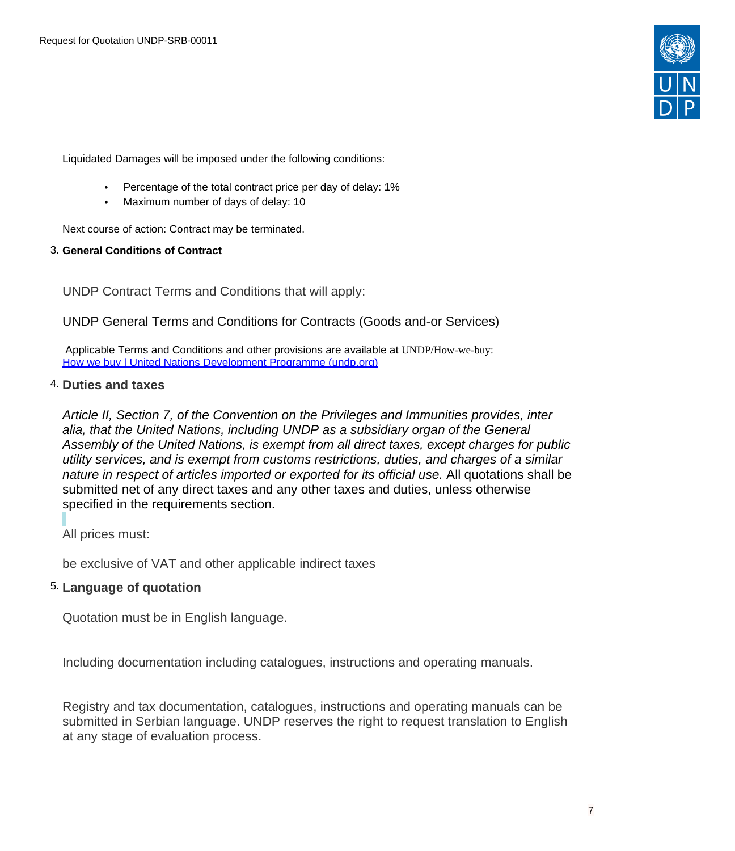

Liquidated Damages will be imposed under the following conditions:

- Percentage of the total contract price per day of delay: 1%
- Maximum number of days of delay: 10

Next course of action: Contract may be terminated.

## 3. **General Conditions of Contract**

UNDP Contract Terms and Conditions that will apply:

# UNDP General Terms and Conditions for Contracts (Goods and-or Services)

 Applicable Terms and Conditions and other provisions are available at UNDP/How-we-buy: [How we buy | United Nations Development Programme \(undp.org\)](https://www.undp.org/procurement/business/how-we-buy)

# 4. **Duties and taxes**

Article II, Section 7, of the Convention on the Privileges and Immunities provides, inter alia, that the United Nations, including UNDP as a subsidiary organ of the General Assembly of the United Nations, is exempt from all direct taxes, except charges for public utility services, and is exempt from customs restrictions, duties, and charges of a similar nature in respect of articles imported or exported for its official use. All quotations shall be submitted net of any direct taxes and any other taxes and duties, unless otherwise specified in the requirements section.

All prices must:

be exclusive of VAT and other applicable indirect taxes

# 5. **Language of quotation**

Quotation must be in English language.

Including documentation including catalogues, instructions and operating manuals.

Registry and tax documentation, catalogues, instructions and operating manuals can be submitted in Serbian language. UNDP reserves the right to request translation to English at any stage of evaluation process.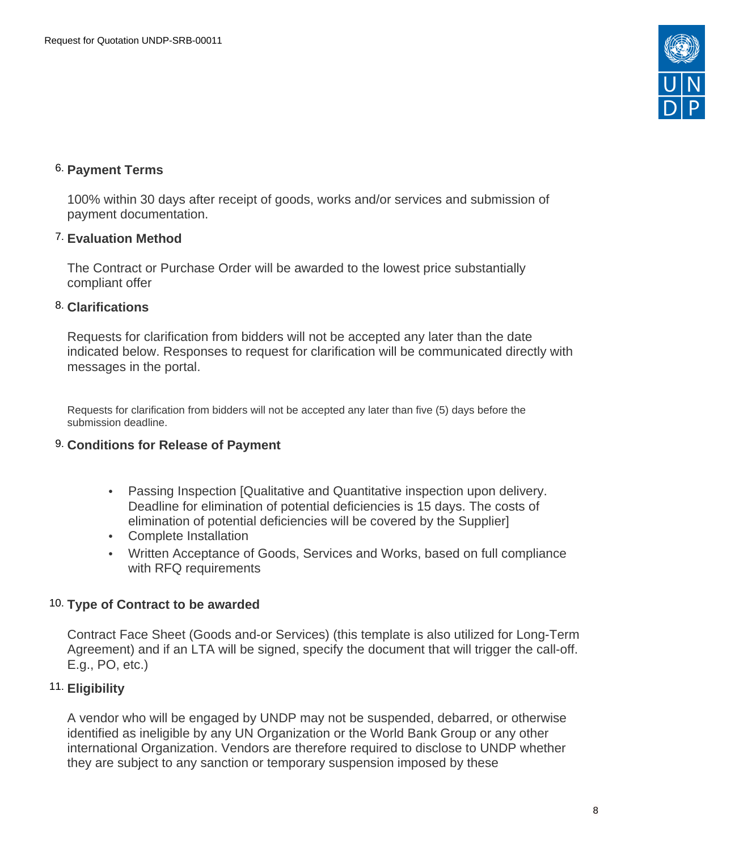

# 6. **Payment Terms**

100% within 30 days after receipt of goods, works and/or services and submission of payment documentation.

# 7. **Evaluation Method**

The Contract or Purchase Order will be awarded to the lowest price substantially compliant offer

# 8. **Clarifications**

Requests for clarification from bidders will not be accepted any later than the date indicated below. Responses to request for clarification will be communicated directly with messages in the portal.

Requests for clarification from bidders will not be accepted any later than five (5) days before the submission deadline.

# 9. **Conditions for Release of Payment**

- Passing Inspection [Qualitative and Quantitative inspection upon delivery. Deadline for elimination of potential deficiencies is 15 days. The costs of elimination of potential deficiencies will be covered by the Supplier]
- Complete Installation
- Written Acceptance of Goods, Services and Works, based on full compliance with RFQ requirements

# 10. **Type of Contract to be awarded**

Contract Face Sheet (Goods and-or Services) (this template is also utilized for Long-Term Agreement) and if an LTA will be signed, specify the document that will trigger the call-off. E.g., PO, etc.)

# 11. **Eligibility**

A vendor who will be engaged by UNDP may not be suspended, debarred, or otherwise identified as ineligible by any UN Organization or the World Bank Group or any other international Organization. Vendors are therefore required to disclose to UNDP whether they are subject to any sanction or temporary suspension imposed by these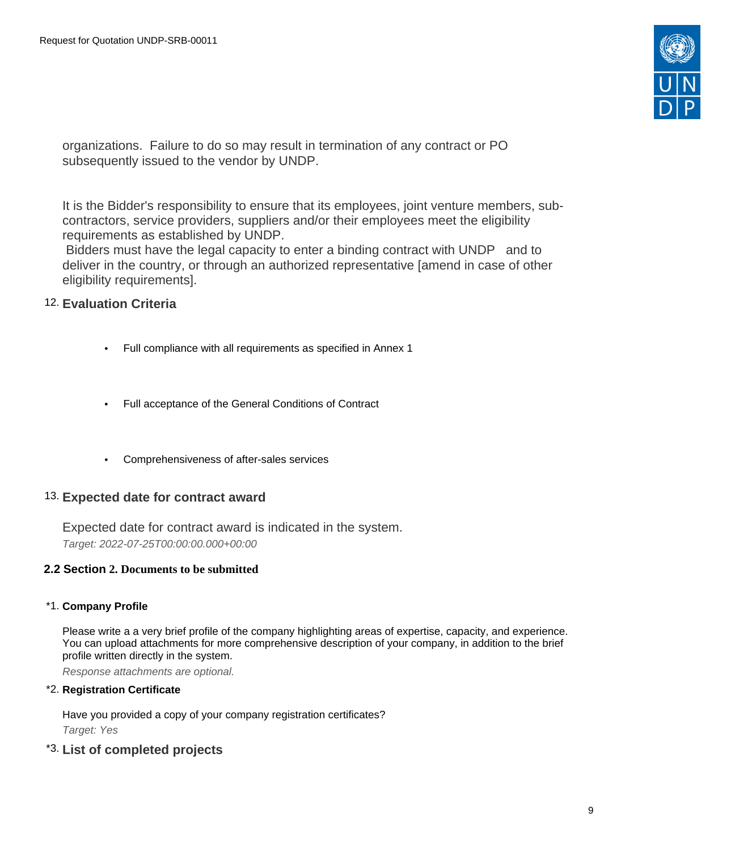

organizations. Failure to do so may result in termination of any contract or PO subsequently issued to the vendor by UNDP.

It is the Bidder's responsibility to ensure that its employees, joint venture members, subcontractors, service providers, suppliers and/or their employees meet the eligibility requirements as established by UNDP.

 Bidders must have the legal capacity to enter a binding contract with UNDP and to deliver in the country, or through an authorized representative [amend in case of other eligibility requirements].

# 12. **Evaluation Criteria**

- Full compliance with all requirements as specified in Annex 1
- Full acceptance of the General Conditions of Contract
- Comprehensiveness of after-sales services

# 13. **Expected date for contract award**

Expected date for contract award is indicated in the system. Target: 2022-07-25T00:00:00.000+00:00

# <span id="page-8-0"></span>**2.2 Section 2. Documents to be submitted**

# \*1. **Company Profile**

Please write a a very brief profile of the company highlighting areas of expertise, capacity, and experience. You can upload attachments for more comprehensive description of your company, in addition to the brief profile written directly in the system.

Response attachments are optional*.*

\*2. **Registration Certificate**

Have you provided a copy of your company registration certificates? Target: Yes

\*3. **List of completed projects**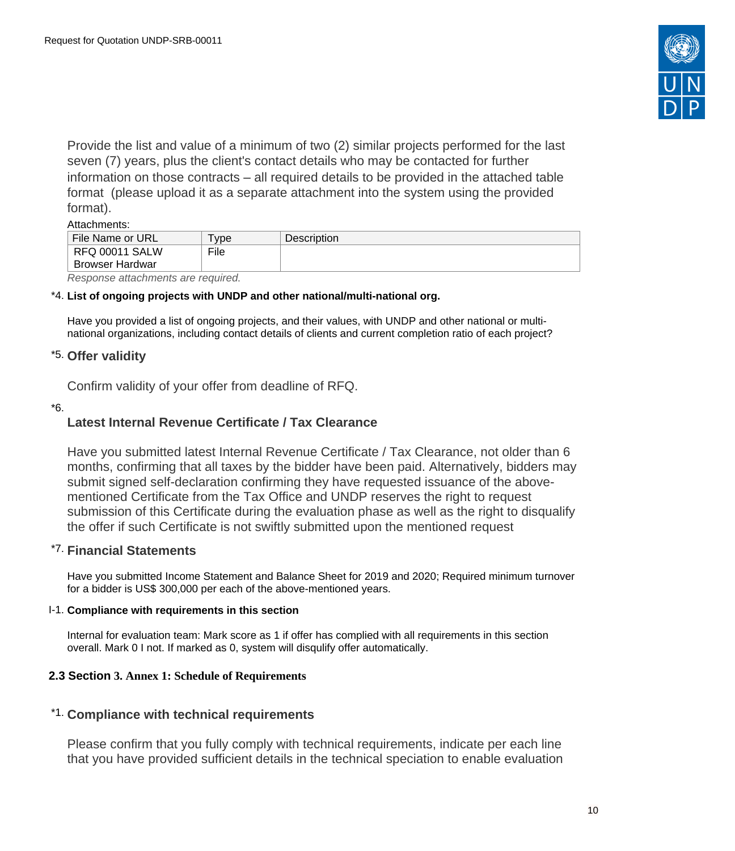

Provide the list and value of a minimum of two (2) similar projects performed for the last seven (7) years, plus the client's contact details who may be contacted for further information on those contracts – all required details to be provided in the attached table format (please upload it as a separate attachment into the system using the provided format).

## Attachments:

| .                        |       |             |
|--------------------------|-------|-------------|
| File Name or URL         | ' vpe | Description |
| <b>RFQ 00011 SALW</b>    | File  |             |
| <b>Browser Hardwar</b>   |       |             |
| $\overline{\phantom{a}}$ |       |             |

Response attachments are required*.*

## \*4. **List of ongoing projects with UNDP and other national/multi-national org.**

Have you provided a list of ongoing projects, and their values, with UNDP and other national or multinational organizations, including contact details of clients and current completion ratio of each project?

## \*5. **Offer validity**

Confirm validity of your offer from deadline of RFQ.

\*6.

# **Latest Internal Revenue Certificate / Tax Clearance**

Have you submitted latest Internal Revenue Certificate / Tax Clearance, not older than 6 months, confirming that all taxes by the bidder have been paid. Alternatively, bidders may submit signed self-declaration confirming they have requested issuance of the abovementioned Certificate from the Tax Office and UNDP reserves the right to request submission of this Certificate during the evaluation phase as well as the right to disqualify the offer if such Certificate is not swiftly submitted upon the mentioned request

## \*7. **Financial Statements**

Have you submitted Income Statement and Balance Sheet for 2019 and 2020; Required minimum turnover for a bidder is US\$ 300,000 per each of the above-mentioned years.

#### I-1. **Compliance with requirements in this section**

Internal for evaluation team: Mark score as 1 if offer has complied with all requirements in this section overall. Mark 0 I not. If marked as 0, system will disqulify offer automatically.

## <span id="page-9-0"></span>**2.3 Section 3. Annex 1: Schedule of Requirements**

# \*1. **Compliance with technical requirements**

Please confirm that you fully comply with technical requirements, indicate per each line that you have provided sufficient details in the technical speciation to enable evaluation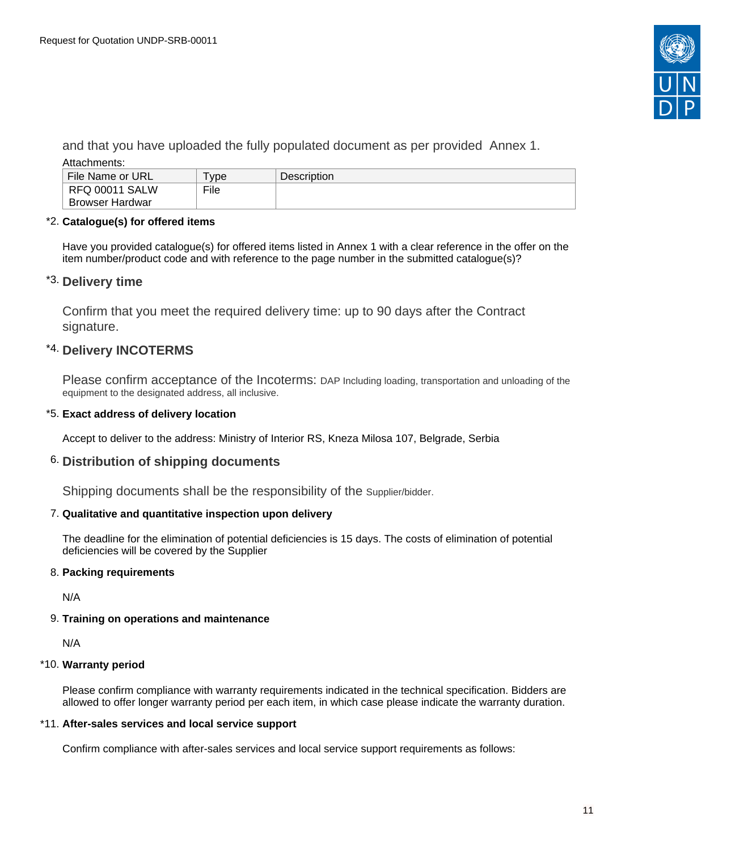

and that you have uploaded the fully populated document as per provided Annex 1. Attachments:

| File Name or URL | vpe  | <b>Description</b> |
|------------------|------|--------------------|
| RFQ 00011 SALW   | File |                    |
| Browser Hardwar  |      |                    |

## \*2. **Catalogue(s) for offered items**

Have you provided catalogue(s) for offered items listed in Annex 1 with a clear reference in the offer on the item number/product code and with reference to the page number in the submitted catalogue(s)?

# \*3. **Delivery time**

Confirm that you meet the required delivery time: up to 90 days after the Contract signature.

# \*4. **Delivery INCOTERMS**

Please confirm acceptance of the Incoterms: DAP Including loading, transportation and unloading of the equipment to the designated address, all inclusive.

## \*5. **Exact address of delivery location**

Accept to deliver to the address: Ministry of Interior RS, Kneza Milosa 107, Belgrade, Serbia

# 6. **Distribution of shipping documents**

Shipping documents shall be the responsibility of the Supplier/bidder.

## 7. **Qualitative and quantitative inspection upon delivery**

The deadline for the elimination of potential deficiencies is 15 days. The costs of elimination of potential deficiencies will be covered by the Supplier

## 8. **Packing requirements**

N/A

# 9. **Training on operations and maintenance**

N/A

## \*10. **Warranty period**

Please confirm compliance with warranty requirements indicated in the technical specification. Bidders are allowed to offer longer warranty period per each item, in which case please indicate the warranty duration.

## \*11. **After-sales services and local service support**

Confirm compliance with after-sales services and local service support requirements as follows: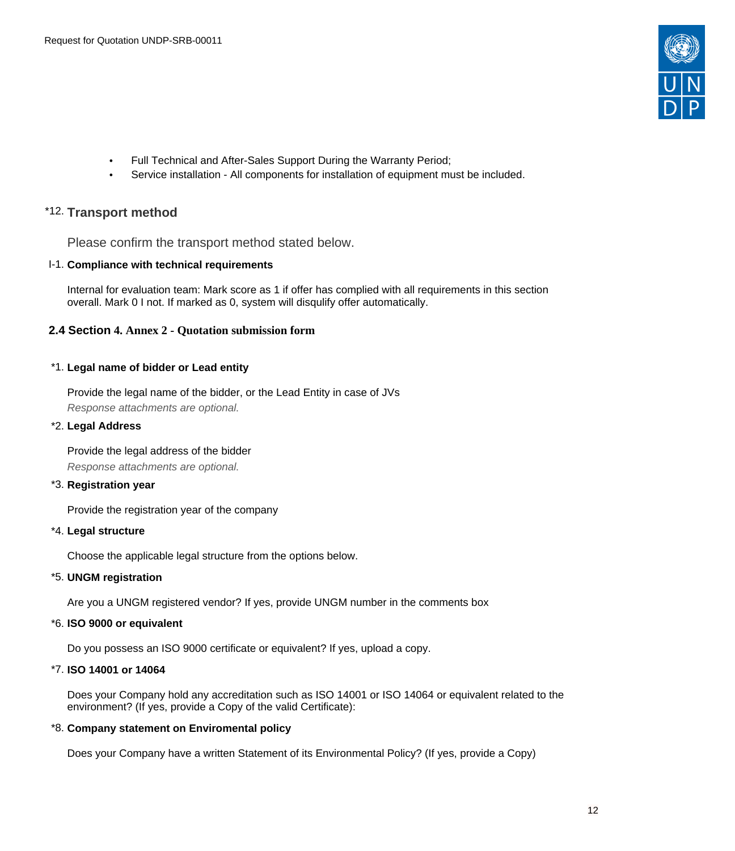

- Full Technical and After-Sales Support During the Warranty Period;
- Service installation All components for installation of equipment must be included.

# \*12. **Transport method**

Please confirm the transport method stated below.

## I-1. **Compliance with technical requirements**

Internal for evaluation team: Mark score as 1 if offer has complied with all requirements in this section overall. Mark 0 I not. If marked as 0, system will disqulify offer automatically.

## <span id="page-11-0"></span>**2.4 Section 4. Annex 2 - Quotation submission form**

## \*1. **Legal name of bidder or Lead entity**

Provide the legal name of the bidder, or the Lead Entity in case of JVs Response attachments are optional*.*

## \*2. **Legal Address**

Provide the legal address of the bidder Response attachments are optional*.*

## \*3. **Registration year**

Provide the registration year of the company

## \*4. **Legal structure**

Choose the applicable legal structure from the options below.

## \*5. **UNGM registration**

Are you a UNGM registered vendor? If yes, provide UNGM number in the comments box

## \*6. **ISO 9000 or equivalent**

Do you possess an ISO 9000 certificate or equivalent? If yes, upload a copy.

#### \*7. **ISO 14001 or 14064**

Does your Company hold any accreditation such as ISO 14001 or ISO 14064 or equivalent related to the environment? (If yes, provide a Copy of the valid Certificate):

#### \*8. **Company statement on Enviromental policy**

Does your Company have a written Statement of its Environmental Policy? (If yes, provide a Copy)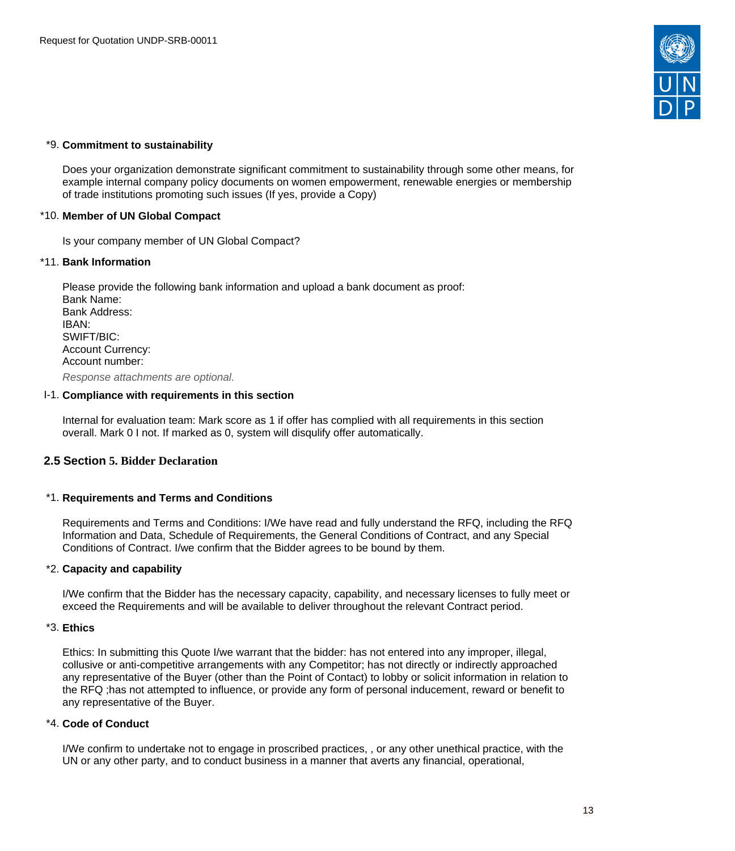

### \*9. **Commitment to sustainability**

Does your organization demonstrate significant commitment to sustainability through some other means, for example internal company policy documents on women empowerment, renewable energies or membership of trade institutions promoting such issues (If yes, provide a Copy)

### \*10. **Member of UN Global Compact**

Is your company member of UN Global Compact?

#### \*11. **Bank Information**

Please provide the following bank information and upload a bank document as proof: Bank Name: Bank Address: IBAN: SWIFT/BIC: Account Currency: Account number:

Response attachments are optional*.*

### I-1. **Compliance with requirements in this section**

Internal for evaluation team: Mark score as 1 if offer has complied with all requirements in this section overall. Mark 0 I not. If marked as 0, system will disqulify offer automatically.

## <span id="page-12-0"></span>**2.5 Section 5. Bidder Declaration**

#### \*1. **Requirements and Terms and Conditions**

Requirements and Terms and Conditions: I/We have read and fully understand the RFQ, including the RFQ Information and Data, Schedule of Requirements, the General Conditions of Contract, and any Special Conditions of Contract. I/we confirm that the Bidder agrees to be bound by them.

#### \*2. **Capacity and capability**

I/We confirm that the Bidder has the necessary capacity, capability, and necessary licenses to fully meet or exceed the Requirements and will be available to deliver throughout the relevant Contract period.

#### \*3. **Ethics**

Ethics: In submitting this Quote I/we warrant that the bidder: has not entered into any improper, illegal, collusive or anti-competitive arrangements with any Competitor; has not directly or indirectly approached any representative of the Buyer (other than the Point of Contact) to lobby or solicit information in relation to the RFQ ;has not attempted to influence, or provide any form of personal inducement, reward or benefit to any representative of the Buyer.

## \*4. **Code of Conduct**

I/We confirm to undertake not to engage in proscribed practices, , or any other unethical practice, with the UN or any other party, and to conduct business in a manner that averts any financial, operational,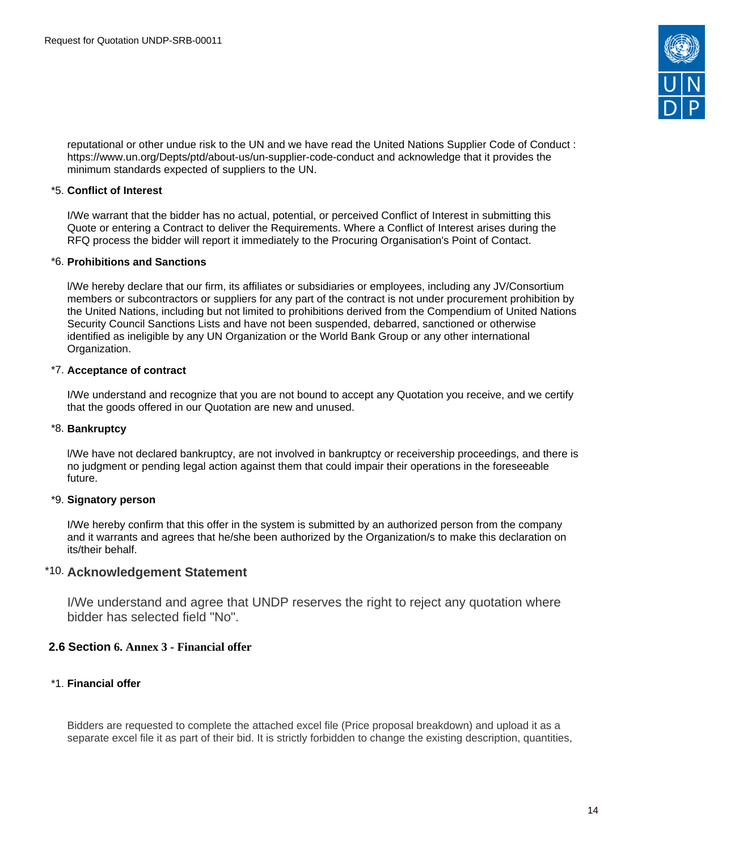

reputational or other undue risk to the UN and we have read the United Nations Supplier Code of Conduct : https://www.un.org/Depts/ptd/about-us/un-supplier-code-conduct and acknowledge that it provides the minimum standards expected of suppliers to the UN.

### \*5. **Conflict of Interest**

I/We warrant that the bidder has no actual, potential, or perceived Conflict of Interest in submitting this Quote or entering a Contract to deliver the Requirements. Where a Conflict of Interest arises during the RFQ process the bidder will report it immediately to the Procuring Organisation's Point of Contact.

### \*6. **Prohibitions and Sanctions**

l/We hereby declare that our firm, its affiliates or subsidiaries or employees, including any JV/Consortium members or subcontractors or suppliers for any part of the contract is not under procurement prohibition by the United Nations, including but not limited to prohibitions derived from the Compendium of United Nations Security Council Sanctions Lists and have not been suspended, debarred, sanctioned or otherwise identified as ineligible by any UN Organization or the World Bank Group or any other international Organization.

## \*7. **Acceptance of contract**

I/We understand and recognize that you are not bound to accept any Quotation you receive, and we certify that the goods offered in our Quotation are new and unused.

### \*8. **Bankruptcy**

l/We have not declared bankruptcy, are not involved in bankruptcy or receivership proceedings, and there is no judgment or pending legal action against them that could impair their operations in the foreseeable future.

## \*9. **Signatory person**

I/We hereby confirm that this offer in the system is submitted by an authorized person from the company and it warrants and agrees that he/she been authorized by the Organization/s to make this declaration on its/their behalf.

## \*10. **Acknowledgement Statement**

I/We understand and agree that UNDP reserves the right to reject any quotation where bidder has selected field "No".

## <span id="page-13-0"></span>**2.6 Section 6. Annex 3 - Financial offer**

## \*1. **Financial offer**

Bidders are requested to complete the attached excel file (Price proposal breakdown) and upload it as a separate excel file it as part of their bid. It is strictly forbidden to change the existing description, quantities,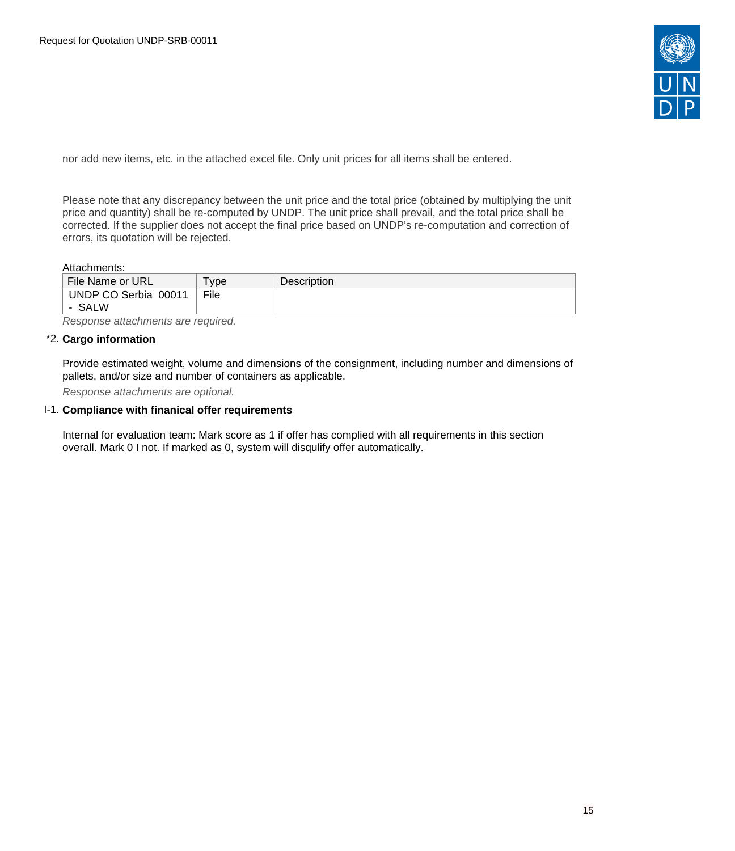

nor add new items, etc. in the attached excel file. Only unit prices for all items shall be entered.

Please note that any discrepancy between the unit price and the total price (obtained by multiplying the unit price and quantity) shall be re-computed by UNDP. The unit price shall prevail, and the total price shall be corrected. If the supplier does not accept the final price based on UNDP's re-computation and correction of errors, its quotation will be rejected.

#### Attachments:

| File Name or URL     | vpe  | <b>Description</b> |
|----------------------|------|--------------------|
| UNDP CO Serbia 00011 | File |                    |
| <b>SALW</b>          |      |                    |

Response attachments are required*.*

#### \*2. **Cargo information**

Provide estimated weight, volume and dimensions of the consignment, including number and dimensions of pallets, and/or size and number of containers as applicable.

Response attachments are optional*.*

#### I-1. **Compliance with finanical offer requirements**

Internal for evaluation team: Mark score as 1 if offer has complied with all requirements in this section overall. Mark 0 I not. If marked as 0, system will disqulify offer automatically.